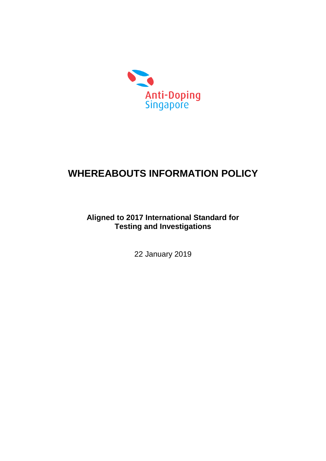

# **WHEREABOUTS INFORMATION POLICY**

# **Aligned to 2017 International Standard for Testing and Investigations**

22 January 2019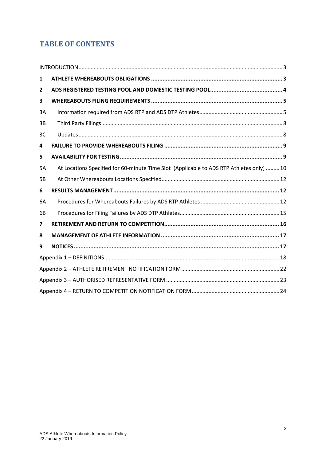# **TABLE OF CONTENTS**

| 1         |                                                                                          |  |
|-----------|------------------------------------------------------------------------------------------|--|
| 2         |                                                                                          |  |
| 3         |                                                                                          |  |
| 3A        |                                                                                          |  |
| 3B        |                                                                                          |  |
| 3C        |                                                                                          |  |
| 4         |                                                                                          |  |
| 5         |                                                                                          |  |
| <b>5A</b> | At Locations Specified for 60-minute Time Slot (Applicable to ADS RTP Athletes only)  10 |  |
| 5B        |                                                                                          |  |
| 6         |                                                                                          |  |
| 6A        |                                                                                          |  |
| 6B        |                                                                                          |  |
| 7         |                                                                                          |  |
| 8         |                                                                                          |  |
| 9         |                                                                                          |  |
|           |                                                                                          |  |
|           |                                                                                          |  |
|           |                                                                                          |  |
|           |                                                                                          |  |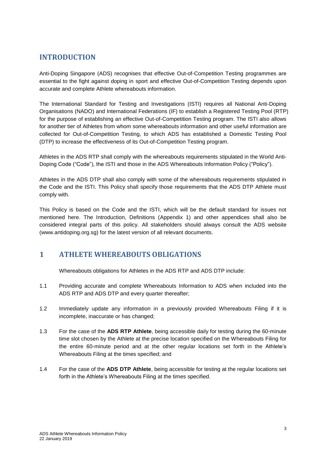### <span id="page-2-0"></span>**INTRODUCTION**

Anti-Doping Singapore (ADS) recognises that effective Out-of-Competition Testing programmes are essential to the fight against doping in sport and effective Out-of-Competition Testing depends upon accurate and complete Athlete whereabouts information.

The International Standard for Testing and Investigations (ISTI) requires all National Anti-Doping Organisations (NADO) and International Federations (IF) to establish a Registered Testing Pool (RTP) for the purpose of establishing an effective Out-of-Competition Testing program. The ISTI also allows for another tier of Athletes from whom some whereabouts information and other useful information are collected for Out-of-Competition Testing, to which ADS has established a Domestic Testing Pool (DTP) to increase the effectiveness of its Out-of-Competition Testing program.

Athletes in the ADS RTP shall comply with the whereabouts requirements stipulated in the World Anti-Doping Code ("Code"), the ISTI and those in the ADS Whereabouts Information Policy ("Policy").

Athletes in the ADS DTP shall also comply with some of the whereabouts requirements stipulated in the Code and the ISTI. This Policy shall specify those requirements that the ADS DTP Athlete must comply with.

This Policy is based on the Code and the ISTI, which will be the default standard for issues not mentioned here. The Introduction, Definitions (Appendix 1) and other appendices shall also be considered integral parts of this policy. All stakeholders should always consult the ADS website (www.antidoping.org.sg) for the latest version of all relevant documents.

#### <span id="page-2-1"></span>**1 ATHLETE WHEREABOUTS OBLIGATIONS**

Whereabouts obligations for Athletes in the ADS RTP and ADS DTP include:

- 1.1 Providing accurate and complete Whereabouts Information to ADS when included into the ADS RTP and ADS DTP and every quarter thereafter;
- 1.2 Immediately update any information in a previously provided Whereabouts Filing if it is incomplete, inaccurate or has changed;
- 1.3 For the case of the **ADS RTP Athlete**, being accessible daily for testing during the 60-minute time slot chosen by the Athlete at the precise location specified on the Whereabouts Filing for the entire 60-minute period and at the other regular locations set forth in the Athlete's Whereabouts Filing at the times specified; and
- 1.4 For the case of the **ADS DTP Athlete**, being accessible for testing at the regular locations set forth in the Athlete's Whereabouts Filing at the times specified.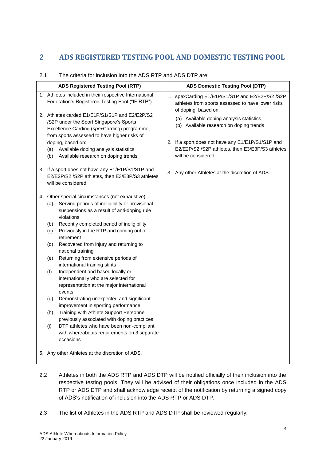# <span id="page-3-0"></span>**2 ADS REGISTERED TESTING POOL AND DOMESTIC TESTING POOL**

| <b>ADS Domestic Testing Pool (DTP)</b>                                                                                                                                                                                                                                                                                                              |
|-----------------------------------------------------------------------------------------------------------------------------------------------------------------------------------------------------------------------------------------------------------------------------------------------------------------------------------------------------|
| 1. spexCarding E1/E1P/S1/S1P and E2/E2P/S2 /S2P<br>athletes from sports assessed to have lower risks<br>of doping, based on:<br>(a) Available doping analysis statistics<br>(b) Available research on doping trends<br>2. If a sport does not have any E1/E1P/S1/S1P and<br>E2/E2P/S2 /S2P athletes, then E3/E3P/S3 athletes<br>will be considered. |
| 3. Any other Athletes at the discretion of ADS.                                                                                                                                                                                                                                                                                                     |
|                                                                                                                                                                                                                                                                                                                                                     |
|                                                                                                                                                                                                                                                                                                                                                     |

#### 2.1 The criteria for inclusion into the ADS RTP and ADS DTP are:

- 2.2 Athletes in both the ADS RTP and ADS DTP will be notified officially of their inclusion into the respective testing pools. They will be advised of their obligations once included in the ADS RTP or ADS DTP and shall acknowledge receipt of the notification by returning a signed copy of ADS's notification of inclusion into the ADS RTP or ADS DTP.
- 2.3 The list of Athletes in the ADS RTP and ADS DTP shall be reviewed regularly.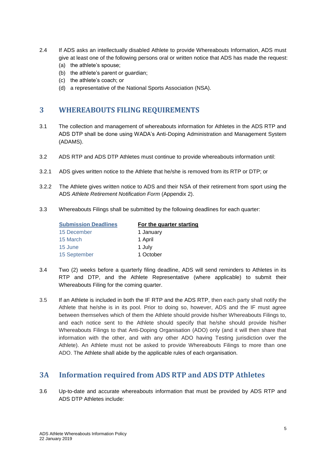- 2.4 If ADS asks an intellectually disabled Athlete to provide Whereabouts Information, ADS must give at least one of the following persons oral or written notice that ADS has made the request: (a) the athlete's spouse;
	- (b) the athlete's parent or guardian;
	- (c) the athlete's coach; or
	- (d) a representative of the National Sports Association (NSA).

#### <span id="page-4-0"></span>**3 WHEREABOUTS FILING REQUIREMENTS**

- 3.1 The collection and management of whereabouts information for Athletes in the ADS RTP and ADS DTP shall be done using WADA's Anti-Doping Administration and Management System (ADAMS).
- 3.2 ADS RTP and ADS DTP Athletes must continue to provide whereabouts information until:
- 3.2.1 ADS gives written notice to the Athlete that he/she is removed from its RTP or DTP; or
- 3.2.2 The Athlete gives written notice to ADS and their NSA of their retirement from sport using the ADS *Athlete Retirement Notification Form* (Appendix 2).
- 3.3 Whereabouts Filings shall be submitted by the following deadlines for each quarter:

| <b>Submission Deadlines</b> | For the quarter starting |
|-----------------------------|--------------------------|
| 15 December                 | 1 January                |
| 15 March                    | 1 April                  |
| 15 June                     | 1 July                   |
| 15 September                | 1 October                |

- 3.4 Two (2) weeks before a quarterly filing deadline, ADS will send reminders to Athletes in its RTP and DTP, and the Athlete Representative (where applicable) to submit their Whereabouts Filing for the coming quarter.
- 3.5 If an Athlete is included in both the IF RTP and the ADS RTP, then each party shall notify the Athlete that he/she is in its pool. Prior to doing so, however, ADS and the IF must agree between themselves which of them the Athlete should provide his/her Whereabouts Filings to, and each notice sent to the Athlete should specify that he/she should provide his/her Whereabouts Filings to that Anti-Doping Organisation (ADO) only (and it will then share that information with the other, and with any other ADO having Testing jurisdiction over the Athlete). An Athlete must not be asked to provide Whereabouts Filings to more than one ADO. The Athlete shall abide by the applicable rules of each organisation.

#### <span id="page-4-1"></span>**3A Information required from ADS RTP and ADS DTP Athletes**

3.6 Up-to-date and accurate whereabouts information that must be provided by ADS RTP and ADS DTP Athletes include: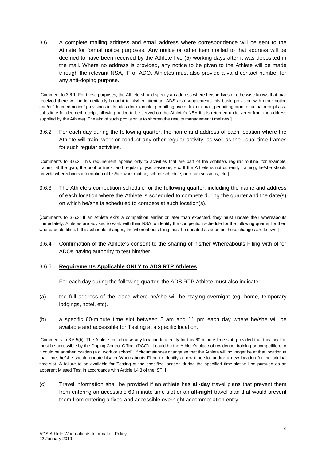3.6.1 A complete mailing address and email address where correspondence will be sent to the Athlete for formal notice purposes. Any notice or other item mailed to that address will be deemed to have been received by the Athlete five (5) working days after it was deposited in the mail. Where no address is provided, any notice to be given to the Athlete will be made through the relevant NSA, IF or ADO. Athletes must also provide a valid contact number for any anti-doping purpose.

[Comment to 3.6.1: For these purposes, the Athlete should specify an address where he/she lives or otherwise knows that mail received there will be immediately brought to his/her attention. ADS also supplements this basic provision with other notice and/or "deemed notice" provisions in its rules (for example, permitting use of fax or email; permitting proof of actual receipt as a substitute for deemed receipt; allowing notice to be served on the Athlete's NSA if it is returned undelivered from the address supplied by the Athlete). The aim of such provision is to shorten the results management timelines.]

3.6.2 For each day during the following quarter, the name and address of each location where the Athlete will train, work or conduct any other regular activity, as well as the usual time-frames for such regular activities.

[Comments to 3.6.2: This requirement applies only to activities that are part of the Athlete's regular routine, for example, training at the gym, the pool or track, and regular physio sessions, etc. If the Athlete is not currently training, he/she should provide whereabouts information of his/her work routine, school schedule, or rehab sessions, etc.]

3.6.3 The Athlete's competition schedule for the following quarter, including the name and address of each location where the Athlete is scheduled to compete during the quarter and the date(s) on which he/she is scheduled to compete at such location(s).

[Comments to 3.6.3: If an Athlete exits a competition earlier or later than expected, they must update their whereabouts immediately. Athletes are advised to work with their NSA to identify the competition schedule for the following quarter for their whereabouts filing. If this schedule changes, the whereabouts filing must be updated as soon as these changes are known.]

3.6.4 Confirmation of the Athlete's consent to the sharing of his/her Whereabouts Filing with other ADOs having authority to test him/her.

#### 3.6.5 **Requirements Applicable ONLY to ADS RTP Athletes**

For each day during the following quarter, the ADS RTP Athlete must also indicate:

- (a) the full address of the place where he/she will be staying overnight (eg. home, temporary lodgings, hotel, etc).
- (b) a specific 60-minute time slot between 5 am and 11 pm each day where he/she will be available and accessible for Testing at a specific location.

[Comments to 3.6.5(b): The Athlete can choose any location to identify for this 60-minute time slot, provided that this location must be accessible by the Doping Control Officer (DCO). It could be the Athlete's place of residence, training or competition, or it could be another location (e.g. work or school). If circumstances change so that the Athlete will no longer be at that location at that time, he/she should update his/her Whereabouts Filing to identify a new time-slot and/or a new location for the original time-slot. A failure to be available for Testing at the specified location during the specified time-slot will be pursued as an apparent Missed Test in accordance with Article I.4.3 of the ISTI.]

(c) Travel information shall be provided if an athlete has **all-day** travel plans that prevent them from entering an accessible 60-minute time slot or an **all-night** travel plan that would prevent them from entering a fixed and accessible overnight accommodation entry.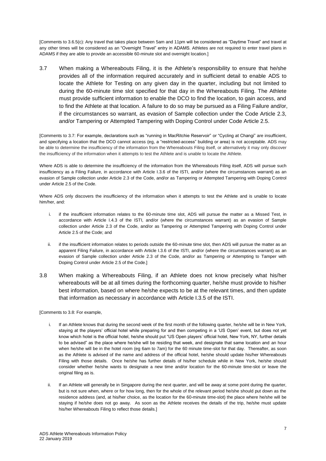[Comments to 3.6.5(c): Any travel that takes place between 5am and 11pm will be considered as "Daytime Travel" and travel at any other times will be considered as an "Overnight Travel" entry in ADAMS. Athletes are not required to enter travel plans in ADAMS if they are able to provide an accessible 60-minute slot and overnight location.]

3.7 When making a Whereabouts Filing, it is the Athlete's responsibility to ensure that he/she provides all of the information required accurately and in sufficient detail to enable ADS to locate the Athlete for Testing on any given day in the quarter, including but not limited to during the 60-minute time slot specified for that day in the Whereabouts Filing. The Athlete must provide sufficient information to enable the DCO to find the location, to gain access, and to find the Athlete at that location. A failure to do so may be pursued as a Filing Failure and/or, if the circumstances so warrant, as evasion of Sample collection under the Code Article 2.3, and/or Tampering or Attempted Tampering with Doping Control under Code Article 2.5.

[Comments to 3.7: For example, declarations such as "running in MacRitchie Reservoir" or "Cycling at Changi" are insufficient, and specifying a location that the DCO cannot access (eg, a "restricted-access" building or area) is not acceptable. ADS may be able to determine the insufficiency of the information from the Whereabouts Filing itself, or alternatively it may only discover the insufficiency of the information when it attempts to test the Athlete and is unable to locate the Athlete.

Where ADS is able to determine the insufficiency of the information from the Whereabouts Filing itself, ADS will pursue such insufficiency as a Filing Failure, in accordance with Article I.3.6 of the ISTI, and/or (where the circumstances warrant) as an evasion of Sample collection under Article 2.3 of the Code, and/or as Tampering or Attempted Tampering with Doping Control under Article 2.5 of the Code.

Where ADS only discovers the insufficiency of the information when it attempts to test the Athlete and is unable to locate him/her, and:

- i. if the insufficient information relates to the 60-minute time slot, ADS will pursue the matter as a Missed Test, in accordance with Article I.4.3 of the ISTI, and/or (where the circumstances warrant) as an evasion of Sample collection under Article 2.3 of the Code, and/or as Tampering or Attempted Tampering with Doping Control under Article 2.5 of the Code; and
- ii. if the insufficient information relates to periods outside the 60-minute time slot, then ADS will pursue the matter as an apparent Filing Failure, in accordance with Article I.3.6 of the ISTI, and/or (where the circumstances warrant) as an evasion of Sample collection under Article 2.3 of the Code, and/or as Tampering or Attempting to Tamper with Doping Control under Article 2.5 of the Code.]
- 3.8 When making a Whereabouts Filing, if an Athlete does not know precisely what his/her whereabouts will be at all times during the forthcoming quarter, he/she must provide to his/her best information, based on where he/she expects to be at the relevant times, and then update that information as necessary in accordance with Article I.3.5 of the ISTI.

[Comments to 3.8: For example,

- i. If an Athlete knows that during the second week of the first month of the following quarter, he/she will be in New York, staying at the players' official hotel while preparing for and then competing in a 'US Open' event, but does not yet know which hotel is the official hotel, he/she should put "US Open players' official hotel, New York, NY, further details to be advised" as the place where he/she will be residing that week, and designate that same location and an hour when he/she will be in the hotel room (eg 6am to 7am) for the 60 minute time-slot for that day. Thereafter, as soon as the Athlete is advised of the name and address of the official hotel, he/she should update his/her Whereabouts Filing with those details. Once he/she has further details of his/her schedule while in New York, he/she should consider whether he/she wants to designate a new time and/or location for the 60-minute time-slot or leave the original filing as is.
- ii. If an Athlete will generally be in Singapore during the next quarter, and will be away at some point during the quarter, but is not sure when, where or for how long, then for the whole of the relevant period he/she should put down as the residence address (and, at his/her choice, as the location for the 60-minute time-slot) the place where he/she will be staying if he/she does not go away. As soon as the Athlete receives the details of the trip, he/she must update his/her Whereabouts Filing to reflect those details.]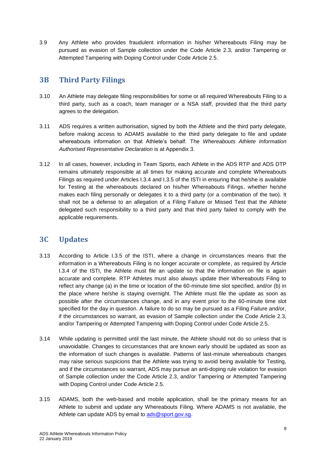3.9 Any Athlete who provides fraudulent information in his/her Whereabouts Filing may be pursued as evasion of Sample collection under the Code Article 2.3, and/or Tampering or Attempted Tampering with Doping Control under Code Article 2.5.

# <span id="page-7-0"></span>**3B Third Party Filings**

- 3.10 An Athlete may delegate filing responsibilities for some or all required Whereabouts Filing to a third party, such as a coach, team manager or a NSA staff, provided that the third party agrees to the delegation.
- 3.11 ADS requires a written authorisation, signed by both the Athlete and the third party delegate, before making access to ADAMS available to the third party delegate to file and update whereabouts information on that Athlete's behalf. The *Whereabouts Athlete Information Authorised Representative Declaration* is at Appendix 3.
- 3.12 In all cases, however, including in Team Sports, each Athlete in the ADS RTP and ADS DTP remains ultimately responsible at all times for making accurate and complete Whereabouts Filings as required under Articles I.3.4 and I.3.5 of the ISTI in ensuring that he/she is available for Testing at the whereabouts declared on his/her Whereabouts Filings, whether he/she makes each filing personally or delegates it to a third party (or a combination of the two). It shall not be a defense to an allegation of a Filing Failure or Missed Test that the Athlete delegated such responsibility to a third party and that third party failed to comply with the applicable requirements.

### <span id="page-7-1"></span>**3C Updates**

- 3.13 According to Article I.3.5 of the ISTI, where a change in circumstances means that the information in a Whereabouts Filing is no longer accurate or complete, as required by Article I.3.4 of the ISTI, the Athlete must file an update so that the information on file is again accurate and complete. RTP Athletes must also always update their Whereabouts Filing to reflect any change (a) in the time or location of the 60-minute time slot specified, and/or (b) in the place where he/she is staying overnight. The Athlete must file the update as soon as possible after the circumstances change, and in any event prior to the 60-minute time slot specified for the day in question. A failure to do so may be pursued as a Filing Failure and/or, if the circumstances so warrant, as evasion of Sample collection under the Code Article 2.3, and/or Tampering or Attempted Tampering with Doping Control under Code Article 2.5.
- 3.14 While updating is permitted until the last minute, the Athlete should not do so unless that is unavoidable. Changes to circumstances that are known early should be updated as soon as the information of such changes is available. Patterns of last-minute whereabouts changes may raise serious suspicions that the Athlete was trying to avoid being available for Testing, and if the circumstances so warrant, ADS may pursue an anti-doping rule violation for evasion of Sample collection under the Code Article 2.3, and/or Tampering or Attempted Tampering with Doping Control under Code Article 2.5.
- 3.15 ADAMS, both the web-based and mobile application, shall be the primary means for an Athlete to submit and update any Whereabouts Filing. Where ADAMS is not available, the Athlete can update ADS by email to [ads@sport.gov.sg.](mailto:ads@sport.gov.sg)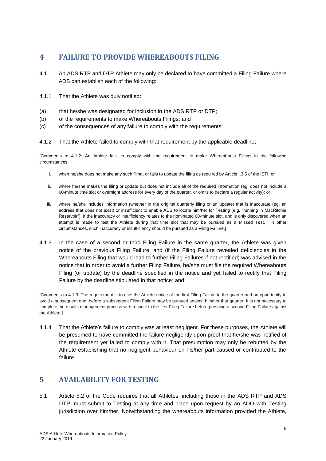### <span id="page-8-0"></span>**4 FAILURE TO PROVIDE WHEREABOUTS FILING**

- 4.1 An ADS RTP and DTP Athlete may only be declared to have committed a Filing Failure where ADS can establish each of the following:
- 4.1.1 That the Athlete was duly notified:
- (a) that he/she was designated for inclusion in the ADS RTP or DTP;
- (b) of the requirements to make Whereabouts Filings; and
- (c) of the consequences of any failure to comply with the requirements;
- 4.1.2 That the Athlete failed to comply with that requirement by the applicable deadline;

[Comments to 4.1.2: An Athlete fails to comply with the requirement to make Whereabouts Filings in the following circumstances:

- i. when he/she does not make any such filing, or fails to update the filing as required by Article I.3.5 of the ISTI; or
- ii. where he/she makes the filing or update but does not include all of the required information (eg, does not include a 60-minute time slot or overnight address for every day of the quarter, or omits to declare a regular activity); or
- iii. where he/she includes information (whether in the original quarterly filing or an update) that is inaccurate (eg, an address that does not exist) or insufficient to enable ADS to locate him/her for Testing (e.g. "running in MacRitchie Reservoir"). If the inaccuracy or insufficiency relates to the nominated 60-minute slot, and is only discovered when an attempt is made to test the Athlete during that time slot that may be pursued as a Missed Test. In other circumstances, such inaccuracy or insufficiency should be pursued as a Filing Failure.]
- 4.1.3 In the case of a second or third Filing Failure in the same quarter, the Athlete was given notice of the previous Filing Failure, and (if the Filing Failure revealed deficiencies in the Whereabouts Filing that would lead to further Filing Failures if not rectified) was advised in the notice that in order to avoid a further Filing Failure, he/she must file the required Whereabouts Filing (or update) by the deadline specified in the notice and yet failed to rectify that Filing Failure by the deadline stipulated in that notice; and

[Comments to 4.1.3: The requirement is to give the Athlete notice of the first Filing Failure in the quarter and an opportunity to avoid a subsequent one, before a subsequent Filing Failure may be pursued against him/her that quarter. It is not necessary to complete the results management process with respect to the first Filing Failure before pursuing a second Filing Failure against the Athlete.]

4.1.4 That the Athlete's failure to comply was at least negligent. For these purposes, the Athlete will be presumed to have committed the failure negligently upon proof that he/she was notified of the requirement yet failed to comply with it. That presumption may only be rebutted by the Athlete establishing that no negligent behaviour on his/her part caused or contributed to the failure.

### <span id="page-8-1"></span>**5 AVAILABILITY FOR TESTING**

5.1 Article 5.2 of the Code requires that all Athletes, including those in the ADS RTP and ADS DTP, must submit to Testing at any time and place upon request by an ADO with Testing jurisdiction over him/her. Notwithstanding the whereabouts information provided the Athlete,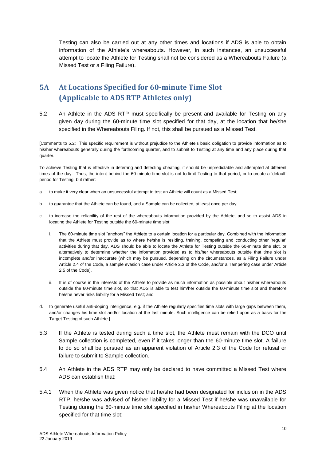Testing can also be carried out at any other times and locations if ADS is able to obtain information of the Athlete's whereabouts. However, in such instances, an unsuccessful attempt to locate the Athlete for Testing shall not be considered as a Whereabouts Failure (a Missed Test or a Filing Failure).

# <span id="page-9-0"></span>**5A At Locations Specified for 60-minute Time Slot (Applicable to ADS RTP Athletes only)**

5.2 An Athlete in the ADS RTP must specifically be present and available for Testing on any given day during the 60-minute time slot specified for that day, at the location that he/she specified in the Whereabouts Filing. If not, this shall be pursued as a Missed Test.

[Comments to 5.2: This specific requirement is without prejudice to the Athlete's basic obligation to provide information as to his/her whereabouts generally during the forthcoming quarter, and to submit to Testing at any time and any place during that quarter.

To achieve Testing that is effective in deterring and detecting cheating, it should be unpredictable and attempted at different times of the day. Thus, the intent behind the 60-minute time slot is not to limit Testing to that period, or to create a 'default' period for Testing, but rather:

- a. to make it very clear when an unsuccessful attempt to test an Athlete will count as a Missed Test;
- b. to guarantee that the Athlete can be found, and a Sample can be collected, at least once per day;
- c. to increase the reliability of the rest of the whereabouts information provided by the Athlete, and so to assist ADS in locating the Athlete for Testing outside the 60-minute time slot:
	- i. The 60-minute time slot "anchors" the Athlete to a certain location for a particular day. Combined with the information that the Athlete must provide as to where he/she is residing, training, competing and conducting other 'regular' activities during that day, ADS should be able to locate the Athlete for Testing outside the 60-minute time slot, or alternatively to determine whether the information provided as to his/her whereabouts outside that time slot is incomplete and/or inaccurate (which may be pursued, depending on the circumstances, as a Filing Failure under Article 2.4 of the Code, a sample evasion case under Article 2.3 of the Code, and/or a Tampering case under Article 2.5 of the Code).
	- ii. It is of course in the interests of the Athlete to provide as much information as possible about his/her whereabouts outside the 60-minute time slot, so that ADS is able to test him/her outside the 60-minute time slot and therefore he/she never risks liability for a Missed Test; and
- d. to generate useful anti-doping intelligence, e.g. if the Athlete regularly specifies time slots with large gaps between them, and/or changes his time slot and/or location at the last minute. Such intelligence can be relied upon as a basis for the Target Testing of such Athlete.]
- 5.3 If the Athlete is tested during such a time slot, the Athlete must remain with the DCO until Sample collection is completed, even if it takes longer than the 60-minute time slot. A failure to do so shall be pursued as an apparent violation of Article 2.3 of the Code for refusal or failure to submit to Sample collection.
- 5.4 An Athlete in the ADS RTP may only be declared to have committed a Missed Test where ADS can establish that:
- 5.4.1 When the Athlete was given notice that he/she had been designated for inclusion in the ADS RTP, he/she was advised of his/her liability for a Missed Test if he/she was unavailable for Testing during the 60-minute time slot specified in his/her Whereabouts Filing at the location specified for that time slot;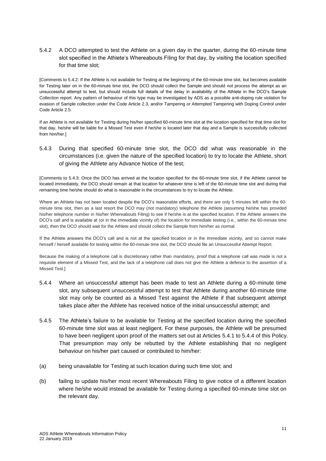#### 5.4.2 A DCO attempted to test the Athlete on a given day in the quarter, during the 60-minute time slot specified in the Athlete's Whereabouts Filing for that day, by visiting the location specified for that time slot;

[Comments to 5.4.2: If the Athlete is not available for Testing at the beginning of the 60-minute time slot, but becomes available for Testing later on in the 60-minute time slot, the DCO should collect the Sample and should not process the attempt as an unsuccessful attempt to test, but should include full details of the delay in availability of the Athlete in the DCO's Sample Collection report. Any pattern of behaviour of this type may be investigated by ADS as a possible anti-doping rule violation for evasion of Sample collection under the Code Article 2.3, and/or Tampering or Attempted Tampering with Doping Control under Code Article 2.5.

If an Athlete is not available for Testing during his/her specified 60-minute time slot at the location specified for that time slot for that day, he/she will be liable for a Missed Test even if he/she is located later that day and a Sample is successfully collected from him/her.]

#### 5.4.3 During that specified 60-minute time slot, the DCO did what was reasonable in the circumstances (i.e. given the nature of the specified location) to try to locate the Athlete, short of giving the Athlete any Advance Notice of the test;

[Comments to 5.4.3: Once the DCO has arrived at the location specified for the 60-minute time slot, if the Athlete cannot be located immediately, the DCO should remain at that location for whatever time is left of the 60-minute time slot and during that remaining time he/she should do what is reasonable in the circumstances to try to locate the Athlete.

Where an Athlete has not been located despite the DCO's reasonable efforts, and there are only 5 minutes left within the 60 minute time slot, then as a last resort the DCO may (not mandatory) telephone the Athlete (assuming he/she has provided his/her telephone number in his/her Whereabouts Filing) to see if he/she is at the specified location. If the Athlete answers the DCO's call and is available at (or in the immediate vicinity of) the location for immediate testing (i.e., within the 60-minute time slot), then the DCO should wait for the Athlete and should collect the Sample from him/her as normal.

If the Athlete answers the DCO's call and is not at the specified location or in the immediate vicinity, and so cannot make himself / herself available for testing within the 60-minute time slot, the DCO should file an Unsuccessful Attempt Report.

Because the making of a telephone call is discretionary rather than mandatory, proof that a telephone call was made is not a requisite element of a Missed Test, and the lack of a telephone call does not give the Athlete a defence to the assertion of a Missed Test.]

- 5.4.4 Where an unsuccessful attempt has been made to test an Athlete during a 60-minute time slot, any subsequent unsuccessful attempt to test that Athlete during another 60-minute time slot may only be counted as a Missed Test against the Athlete if that subsequent attempt takes place after the Athlete has received notice of the initial unsuccessful attempt; and
- 5.4.5 The Athlete's failure to be available for Testing at the specified location during the specified 60-minute time slot was at least negligent. For these purposes, the Athlete will be presumed to have been negligent upon proof of the matters set out at Articles 5.4.1 to 5.4.4 of this Policy. That presumption may only be rebutted by the Athlete establishing that no negligent behaviour on his/her part caused or contributed to him/her:
- (a) being unavailable for Testing at such location during such time slot; and
- (b) failing to update his/her most recent Whereabouts Filing to give notice of a different location where he/she would instead be available for Testing during a specified 60-minute time slot on the relevant day.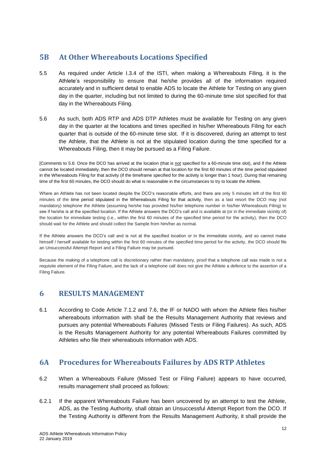## <span id="page-11-0"></span>**5B At Other Whereabouts Locations Specified**

- 5.5 As required under Article I.3.4 of the ISTI, when making a Whereabouts Filing, it is the Athlete's responsibility to ensure that he/she provides all of the information required accurately and in sufficient detail to enable ADS to locate the Athlete for Testing on any given day in the quarter, including but not limited to during the 60-minute time slot specified for that day in the Whereabouts Filing.
- 5.6 As such, both ADS RTP and ADS DTP Athletes must be available for Testing on any given day in the quarter at the locations and times specified in his/her Whereabouts Filing for each quarter that is outside of the 60-minute time slot. If it is discovered, during an attempt to test the Athlete, that the Athlete is not at the stipulated location during the time specified for a Whereabouts Filing, then it may be pursued as a Filing Failure.

[Comments to 5.6: Once the DCO has arrived at the location (that is not specified for a 60-minute time slot), and if the Athlete cannot be located immediately, then the DCO should remain at that location for the first 60 minutes of the time period stipulated in the Whereabouts Filing for that activity (if the timeframe specified for the activity is longer than 1 hour). During that remaining time of the first 60 minutes, the DCO should do what is reasonable in the circumstances to try to locate the Athlete.

Where an Athlete has not been located despite the DCO's reasonable efforts, and there are only 5 minutes left of the first 60 minutes of the time period stipulated in the Whereabouts Filing for that activity, then as a last resort the DCO may (not mandatory) telephone the Athlete (assuming he/she has provided his/her telephone number in his/her Whereabouts Filing) to see if he/she is at the specified location. If the Athlete answers the DCO's call and is available at (or in the immediate vicinity of) the location for immediate testing (i.e., within the first 60 minutes of the specified time period for the activity), then the DCO should wait for the Athlete and should collect the Sample from him/her as normal.

If the Athlete answers the DCO's call and is not at the specified location or in the immediate vicinity, and so cannot make himself / herself available for testing within the first 60 minutes of the specified time period for the activity, the DCO should file an Unsuccessful Attempt Report and a Filing Failure may be pursued.

Because the making of a telephone call is discretionary rather than mandatory, proof that a telephone call was made is not a requisite element of the Filing Failure, and the lack of a telephone call does not give the Athlete a defence to the assertion of a Filing Failure.

#### <span id="page-11-1"></span>**6 RESULTS MANAGEMENT**

6.1 According to Code Article 7.1.2 and 7.6, the IF or NADO with whom the Athlete files his/her whereabouts information with shall be the Results Management Authority that reviews and pursues any potential Whereabouts Failures (Missed Tests or Filing Failures). As such, ADS is the Results Management Authority for any potential Whereabouts Failures committed by Athletes who file their whereabouts information with ADS.

### <span id="page-11-2"></span>**6A Procedures for Whereabouts Failures by ADS RTP Athletes**

- 6.2 When a Whereabouts Failure (Missed Test or Filing Failure) appears to have occurred, results management shall proceed as follows:
- 6.2.1 If the apparent Whereabouts Failure has been uncovered by an attempt to test the Athlete, ADS, as the Testing Authority, shall obtain an Unsuccessful Attempt Report from the DCO. If the Testing Authority is different from the Results Management Authority, it shall provide the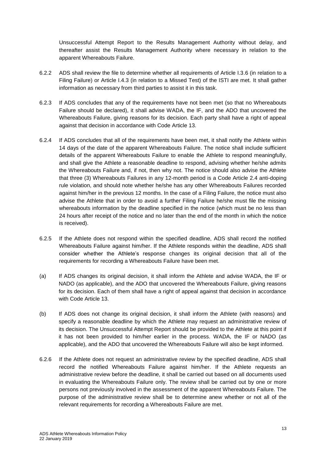Unsuccessful Attempt Report to the Results Management Authority without delay, and thereafter assist the Results Management Authority where necessary in relation to the apparent Whereabouts Failure.

- 6.2.2 ADS shall review the file to determine whether all requirements of Article I.3.6 (in relation to a Filing Failure) or Article I.4.3 (in relation to a Missed Test) of the ISTI are met. It shall gather information as necessary from third parties to assist it in this task.
- 6.2.3 If ADS concludes that any of the requirements have not been met (so that no Whereabouts Failure should be declared), it shall advise WADA, the IF, and the ADO that uncovered the Whereabouts Failure, giving reasons for its decision. Each party shall have a right of appeal against that decision in accordance with Code Article 13.
- 6.2.4 If ADS concludes that all of the requirements have been met, it shall notify the Athlete within 14 days of the date of the apparent Whereabouts Failure. The notice shall include sufficient details of the apparent Whereabouts Failure to enable the Athlete to respond meaningfully, and shall give the Athlete a reasonable deadline to respond, advising whether he/she admits the Whereabouts Failure and, if not, then why not. The notice should also advise the Athlete that three (3) Whereabouts Failures in any 12-month period is a Code Article 2.4 anti-doping rule violation, and should note whether he/she has any other Whereabouts Failures recorded against him/her in the previous 12 months. In the case of a Filing Failure, the notice must also advise the Athlete that in order to avoid a further Filing Failure he/she must file the missing whereabouts information by the deadline specified in the notice (which must be no less than 24 hours after receipt of the notice and no later than the end of the month in which the notice is received).
- 6.2.5 If the Athlete does not respond within the specified deadline, ADS shall record the notified Whereabouts Failure against him/her. If the Athlete responds within the deadline, ADS shall consider whether the Athlete's response changes its original decision that all of the requirements for recording a Whereabouts Failure have been met.
- (a) If ADS changes its original decision, it shall inform the Athlete and advise WADA, the IF or NADO (as applicable), and the ADO that uncovered the Whereabouts Failure, giving reasons for its decision. Each of them shall have a right of appeal against that decision in accordance with Code Article 13.
- (b) If ADS does not change its original decision, it shall inform the Athlete (with reasons) and specify a reasonable deadline by which the Athlete may request an administrative review of its decision. The Unsuccessful Attempt Report should be provided to the Athlete at this point if it has not been provided to him/her earlier in the process. WADA, the IF or NADO (as applicable), and the ADO that uncovered the Whereabouts Failure will also be kept informed.
- 6.2.6 If the Athlete does not request an administrative review by the specified deadline, ADS shall record the notified Whereabouts Failure against him/her. If the Athlete requests an administrative review before the deadline, it shall be carried out based on all documents used in evaluating the Whereabouts Failure only. The review shall be carried out by one or more persons not previously involved in the assessment of the apparent Whereabouts Failure. The purpose of the administrative review shall be to determine anew whether or not all of the relevant requirements for recording a Whereabouts Failure are met.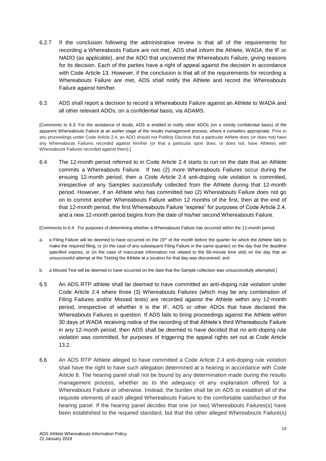- 6.2.7 If the conclusion following the administrative review is that all of the requirements for recording a Whereabouts Failure are not met, ADS shall inform the Athlete, WADA, the IF or NADO (as applicable), and the ADO that uncovered the Whereabouts Failure, giving reasons for its decision. Each of the parties have a right of appeal against the decision in accordance with Code Article 13. However, if the conclusion is that all of the requirements for recording a Whereabouts Failure are met, ADS shall notify the Athlete and record the Whereabouts Failure against him/her.
- 6.3 ADS shall report a decision to record a Whereabouts Failure against an Athlete to WADA and all other relevant ADOs, on a confidential basis, via ADAMS.

[Comments to 6.3: For the avoidance of doubt, ADS is entitled to notify other ADOs (on a strictly confidential basis) of the apparent Whereabouts Failure at an earlier stage of the results management process, where it considers appropriate. Prior to any proceedings under Code Article 2.4, an ADO should not Publicly Disclose that a particular Athlete does (or does not) have any Whereabouts Failures recorded against him/her (or that a particular sport does, or does not, have Athletes with Whereabouts Failures recorded against them).]

6.4 The 12-month period referred to in Code Article 2.4 starts to run on the date that an Athlete commits a Whereabouts Failure. If two (2) more Whereabouts Failures occur during the ensuing 12-month period, then a Code Article 2.4 anti-doping rule violation is committed, irrespective of any Samples successfully collected from the Athlete during that 12-month period. However, if an Athlete who has committed two (2) Whereabouts Failure does not go on to commit another Whereabouts Failure within 12 months of the first, then at the end of that 12-month period, the first Whereabouts Failure "expires" for purposes of Code Article 2.4, and a new 12-month period begins from the date of his/her second Whereabouts Failure.

[Comments to 6.4: For purposes of determining whether a Whereabouts Failure has occurred within the 12-month period:

- a. a Filing Failure will be deemed to have occurred on the  $15<sup>th</sup>$  of the month before the quarter for which the Athlete fails to make the required filing, or (in the case of any subsequent Filing Failure in the same quarter) on the day that the deadline specified expires, or (in the case of inaccurate information not related to the 60-minute time slot) on the day that an unsuccessful attempt at the Testing the Athlete at a location for that day was discovered; and
- b. a Missed Test will be deemed to have occurred on the date that the Sample collection was unsuccessfully attempted.]
- 6.5 An ADS RTP athlete shall be deemed to have committed an anti-doping rule violation under Code Article 2.4 where three (3) Whereabouts Failures (which may be any combination of Filing Failures and/or Missed tests) are recorded against the Athlete within any 12-month period, irrespective of whether it is the IF, ADS or other ADOs that have declared the Whereabouts Failures in question. If ADS fails to bring proceedings against the Athlete within 30 days of WADA receiving notice of the recording of that Athlete's third Whereabouts Failure in any 12-month period, then ADS shall be deemed to have decided that no anti-doping rule violation was committed, for purposes of triggering the appeal rights set out at Code Article 13.2.
- 6.6 An ADS RTP Athlete alleged to have committed a Code Article 2.4 anti-doping rule violation shall have the right to have such allegation determined at a hearing in accordance with Code Article 8. The hearing panel shall not be bound by any determination made during the results management process, whether as to the adequacy of any explanation offered for a Whereabouts Failure or otherwise. Instead, the burden shall be on ADS to establish all of the requisite elements of each alleged Whereabouts Failure to the comfortable satisfaction of the hearing panel. If the hearing panel decides that one (or two) Whereabouts Failures(s) have been established to the required standard, but that the other alleged Whereabouts Failure(s)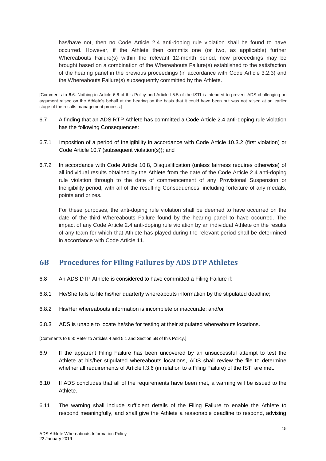has/have not, then no Code Article 2.4 anti-doping rule violation shall be found to have occurred. However, if the Athlete then commits one (or two, as applicable) further Whereabouts Failure(s) within the relevant 12-month period, new proceedings may be brought based on a combination of the Whereabouts Failure(s) established to the satisfaction of the hearing panel in the previous proceedings (in accordance with Code Article 3.2.3) and the Whereabouts Failure(s) subsequently committed by the Athlete.

[Comments to 6.6: Nothing in Article 6.6 of this Policy and Article I.5.5 of the ISTI is intended to prevent ADS challenging an argument raised on the Athlete's behalf at the hearing on the basis that it could have been but was not raised at an earlier stage of the results management process.]

- 6.7 A finding that an ADS RTP Athlete has committed a Code Article 2.4 anti-doping rule violation has the following Consequences:
- 6.7.1 Imposition of a period of Ineligibility in accordance with Code Article 10.3.2 (first violation) or Code Article 10.7 (subsequent violation(s)); and
- 6.7.2 In accordance with Code Article 10.8, Disqualification (unless fairness requires otherwise) of all individual results obtained by the Athlete from the date of the Code Article 2.4 anti-doping rule violation through to the date of commencement of any Provisional Suspension or Ineligibility period, with all of the resulting Consequences, including forfeiture of any medals, points and prizes.

For these purposes, the anti-doping rule violation shall be deemed to have occurred on the date of the third Whereabouts Failure found by the hearing panel to have occurred. The impact of any Code Article 2.4 anti-doping rule violation by an individual Athlete on the results of any team for which that Athlete has played during the relevant period shall be determined in accordance with Code Article 11.

### <span id="page-14-0"></span>**6B Procedures for Filing Failures by ADS DTP Athletes**

- 6.8 An ADS DTP Athlete is considered to have committed a Filing Failure if:
- 6.8.1 He/She fails to file his/her quarterly whereabouts information by the stipulated deadline;
- 6.8.2 His/Her whereabouts information is incomplete or inaccurate; and/or
- 6.8.3 ADS is unable to locate he/she for testing at their stipulated whereabouts locations.

[Comments to 6.8: Refer to Articles 4 and 5.1 and Section 5B of this Policy.]

- 6.9 If the apparent Filing Failure has been uncovered by an unsuccessful attempt to test the Athlete at his/her stipulated whereabouts locations, ADS shall review the file to determine whether all requirements of Article I.3.6 (in relation to a Filing Failure) of the ISTI are met.
- 6.10 If ADS concludes that all of the requirements have been met, a warning will be issued to the Athlete.
- 6.11 The warning shall include sufficient details of the Filing Failure to enable the Athlete to respond meaningfully, and shall give the Athlete a reasonable deadline to respond, advising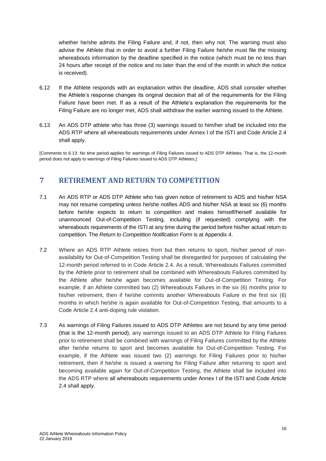whether he/she admits the Filing Failure and, if not, then why not. The warning must also advise the Athlete that in order to avoid a further Filing Failure he/she must file the missing whereabouts information by the deadline specified in the notice (which must be no less than 24 hours after receipt of the notice and no later than the end of the month in which the notice is received).

- 6.12 If the Athlete responds with an explanation within the deadline, ADS shall consider whether the Athlete's response changes its original decision that all of the requirements for the Filing Failure have been met. If as a result of the Athlete's explanation the requirements for the Filing Failure are no longer met, ADS shall withdraw the earlier warning issued to the Athlete.
- 6.13 An ADS DTP athlete who has three (3) warnings issued to him/her shall be included into the ADS RTP where all whereabouts requirements under Annex I of the ISTI and Code Article 2.4 shall apply.

[Comments to 6.13: No time period applies for warnings of Filing Failures issued to ADS DTP Athletes. That is, the 12-month period does not apply to warnings of Filing Failures issued to ADS DTP Athletes.]

### <span id="page-15-0"></span>**7 RETIREMENT AND RETURN TO COMPETITION**

- 7.1 An ADS RTP or ADS DTP Athlete who has given notice of retirement to ADS and his/her NSA may not resume competing unless he/she notifies ADS and his/her NSA at least six (6) months before he/she expects to return to competition and makes himself/herself available for unannounced Out-of-Competition Testing, including (if requested) complying with the whereabouts requirements of the ISTI at any time during the period before his/her actual return to competition. The *Return to Competition Notification Form* is at Appendix 4.
- 7.2 Where an ADS RTP Athlete retires from but then returns to sport, his/her period of nonavailability for Out-of-Competition Testing shall be disregarded for purposes of calculating the 12-month period referred to in Code Article 2.4. As a result, Whereabouts Failures committed by the Athlete prior to retirement shall be combined with Whereabouts Failures committed by the Athlete after he/she again becomes available for Out-of-Competition Testing. For example, if an Athlete committed two (2) Whereabouts Failures in the six (6) months prior to his/her retirement, then if he/she commits another Whereabouts Failure in the first six (6) months in which he/she is again available for Out-of-Competition Testing, that amounts to a Code Article 2.4 anti-doping rule violation.
- 7.3 As warnings of Filing Failures issued to ADS DTP Athletes are not bound by any time period (that is the 12-month period), any warnings issued to an ADS DTP Athlete for Filing Failures prior to retirement shall be combined with warnings of Filing Failures committed by the Athlete after he/she returns to sport and becomes available for Out-of-Competition Testing. For example, if the Athlete was issued two (2) warnings for Filing Failures prior to his/her retirement, then if he/she is issued a warning for Filing Failure after returning to sport and becoming available again for Out-of-Competition Testing, the Athlete shall be included into the ADS RTP where all whereabouts requirements under Annex I of the ISTI and Code Article 2.4 shall apply.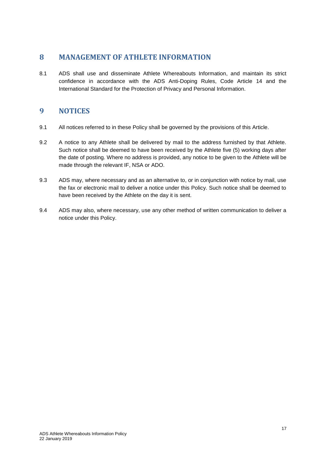#### <span id="page-16-0"></span>**8 MANAGEMENT OF ATHLETE INFORMATION**

8.1 ADS shall use and disseminate Athlete Whereabouts Information, and maintain its strict confidence in accordance with the ADS Anti-Doping Rules, Code Article 14 and the International Standard for the Protection of Privacy and Personal Information.

#### <span id="page-16-1"></span>**9 NOTICES**

- 9.1 All notices referred to in these Policy shall be governed by the provisions of this Article.
- 9.2 A notice to any Athlete shall be delivered by mail to the address furnished by that Athlete. Such notice shall be deemed to have been received by the Athlete five (5) working days after the date of posting. Where no address is provided, any notice to be given to the Athlete will be made through the relevant IF, NSA or ADO.
- 9.3 ADS may, where necessary and as an alternative to, or in conjunction with notice by mail, use the fax or electronic mail to deliver a notice under this Policy. Such notice shall be deemed to have been received by the Athlete on the day it is sent.
- 9.4 ADS may also, where necessary, use any other method of written communication to deliver a notice under this Policy.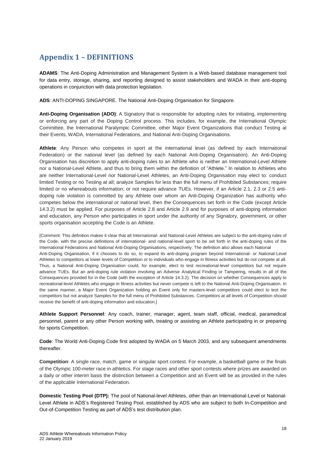# <span id="page-17-0"></span>**Appendix 1 – DEFINITIONS**

**ADAMS**: The Anti-Doping Administration and Management System is a Web-based database management tool for data entry, storage, sharing, and reporting designed to assist stakeholders and WADA in their anti-doping operations in conjunction with data protection legislation.

**ADS**: ANTI-DOPING SINGAPORE. The National Anti-Doping Organisation for Singapore.

**Anti-Doping Organisation (ADO)**: A Signatory that is responsible for adopting rules for initiating, implementing or enforcing any part of the Doping Control process. This includes, for example, the International Olympic Committee, the International Paralympic Committee, other Major Event Organizations that conduct Testing at their Events, WADA, International Federations, and National Anti-Doping Organisations.

**Athlete**: Any Person who competes in sport at the international level (as defined by each International Federation) or the national level (as defined by each National Anti-Doping Organisation). An Anti-Doping Organisation has discretion to apply anti-doping rules to an Athlete who is neither an International-Level Athlete nor a National-Level Athlete, and thus to bring them within the definition of "Athlete." In relation to Athletes who are neither International-Level nor National-Level Athletes, an Anti-Doping Organisation may elect to: conduct limited Testing or no Testing at all; analyze Samples for less than the full menu of Prohibited Substances; require limited or no whereabouts information; or not require advance TUEs. However, if an Article 2.1, 2.3 or 2.5 antidoping rule violation is committed by any Athlete over whom an Anti-Doping Organization has authority who competes below the international or national level, then the Consequences set forth in the Code (except Article 14.3.2) must be applied. For purposes of Article 2.8 and Article 2.9 and for purposes of anti-doping information and education, any Person who participates in sport under the authority of any Signatory, government, or other sports organisation accepting the Code is an Athlete.

[Comment: This definition makes it clear that all International- and National-Level Athletes are subject to the anti-doping rules of the Code, with the precise definitions of international- and national-level sport to be set forth in the anti-doping rules of the International Federations and National Anti-Doping Organisations, respectively. The definition also allows each National Anti-Doping Organisation, if it chooses to do so, to expand its anti-doping program beyond International- or National-Level Athletes to competitors at lower levels of Competition or to individuals who engage in fitness activities but do not compete at all. Thus, a National Anti-Doping Organisation could, for example, elect to test recreational-level competitors but not require advance TUEs. But an anti-doping rule violation involving an Adverse Analytical Finding or Tampering, results in all of the Consequences provided for in the Code (with the exception of Article 14.3.2). The decision on whether Consequences apply to recreational-level Athletes who engage in fitness activities but never compete is left to the National Anti-Doping Organisation. In the same manner, a Major Event Organization holding an Event only for masters-level competitors could elect to test the competitors but not analyze Samples for the full menu of Prohibited Substances. Competitors at all levels of Competition should receive the benefit of anti-doping information and education.]

**Athlete Support Personnel**: Any coach, trainer, manager, agent, team staff, official, medical, paramedical personnel, parent or any other Person working with, treating or assisting an Athlete participating in or preparing for sports Competition.

**Code**: The World Anti-Doping Code first adopted by WADA on 5 March 2003, and any subsequent amendments thereafter.

**Competition**: A single race, match, game or singular sport contest. For example, a basketball game or the finals of the Olympic 100-meter race in athletics. For stage races and other sport contests where prizes are awarded on a daily or other interim basis the distinction between a Competition and an Event will be as provided in the rules of the applicable International Federation.

**Domestic Testing Pool (DTP):** The pool of National-level Athletes, other than an International-Level or National-Level Athlete in ADS's Registered Testing Pool, established by ADS who are subject to both In-Competition and Out-of-Competition Testing as part of ADS's test distribution plan.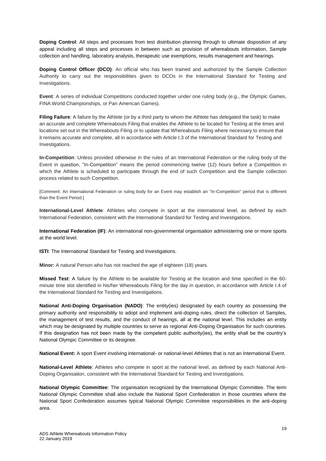**Doping Control**: All steps and processes from test distribution planning through to ultimate disposition of any appeal including all steps and processes in between such as provision of whereabouts information, Sample collection and handling, laboratory analysis, therapeutic use exemptions, results management and hearings.

**Doping Control Officer (DCO)**: An official who has been trained and authorized by the Sample Collection Authority to carry out the responsibilities given to DCOs in the International Standard for Testing and Investigations.

**Event**: A series of individual Competitions conducted together under one ruling body (e.g., the Olympic Games, FINA World Championships, or Pan American Games).

Filing Failure: A failure by the Athlete (or by a third party to whom the Athlete has delegated the task) to make an accurate and complete Whereabouts Filing that enables the Athlete to be located for Testing at the times and locations set out in the Whereabouts Filing or to update that Whereabouts Filing where necessary to ensure that it remains accurate and complete, all in accordance with Article I.3 of the International Standard for Testing and Investigations.

**In-Competition**: Unless provided otherwise in the rules of an International Federation or the ruling body of the Event in question, "In-Competition" means the period commencing twelve (12) hours before a Competition in which the Athlete is scheduled to participate through the end of such Competition and the Sample collection process related to such Competition.

[Comment: An International Federation or ruling body for an Event may establish an "In-Competition" period that is different than the Event Period.]

**International-Level Athlete**: Athletes who compete in sport at the international level, as defined by each International Federation, consistent with the International Standard for Testing and Investigations.

**International Federation (IF)**: An international non-governmental organisation administering one or more sports at the world level.

**ISTI:** The International Standard for Testing and Investigations.

**Minor:** A natural Person who has not reached the age of eighteen (18) years.

**Missed Test**: A failure by the Athlete to be available for Testing at the location and time specified in the 60 minute time slot identified in his/her Whereabouts Filing for the day in question, in accordance with Article I.4 of the International Standard for Testing and Investigations.

**National Anti-Doping Organisation (NADO)**: The entity(ies) designated by each country as possessing the primary authority and responsibility to adopt and implement anti-doping rules, direct the collection of Samples, the management of test results, and the conduct of hearings, all at the national level. This includes an entity which may be designated by multiple countries to serve as regional Anti-Doping Organisation for such countries. If this designation has not been made by the competent public authority(ies), the entity shall be the country's National Olympic Committee or its designee.

**National Event:** A sport Event involving international- or national-level Athletes that is not an International Event.

**National-Level Athlete**: Athletes who compete in sport at the national level, as defined by each National Anti-Doping Organisation, consistent with the International Standard for Testing and Investigations.

**National Olympic Committee**: The organisation recognized by the International Olympic Committee. The term National Olympic Committee shall also include the National Sport Confederation in those countries where the National Sport Confederation assumes typical National Olympic Committee responsibilities in the anti-doping area.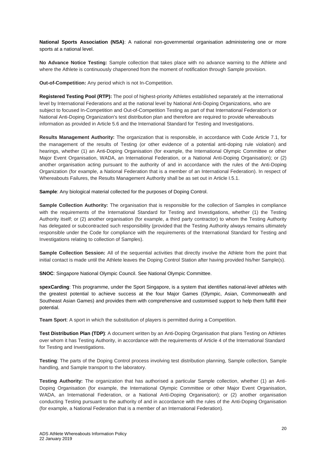**National Sports Association (NSA)**: A national non-governmental organisation administering one or more sports at a national level.

**No Advance Notice Testing:** Sample collection that takes place with no advance warning to the Athlete and where the Athlete is continuously chaperoned from the moment of notification through Sample provision.

**Out-of-Competition:** Any period which is not In-Competition.

**Registered Testing Pool (RTP):** The pool of highest-priority Athletes established separately at the international level by International Federations and at the national level by National Anti-Doping Organizations, who are subject to focused In-Competition and Out-of-Competition Testing as part of that International Federation's or National Anti-Doping Organization's test distribution plan and therefore are required to provide whereabouts information as provided in Article 5.6 and the International Standard for Testing and Investigations.

**Results Management Authority:** The organization that is responsible, in accordance with Code Article 7.1, for the management of the results of Testing (or other evidence of a potential anti-doping rule violation) and hearings, whether (1) an Anti-Doping Organisation (for example, the International Olympic Committee or other Major Event Organisation, WADA, an International Federation, or a National Anti-Doping Organisation); or (2) another organisation acting pursuant to the authority of and in accordance with the rules of the Anti-Doping Organization (for example, a National Federation that is a member of an International Federation). In respect of Whereabouts Failures, the Results Management Authority shall be as set out in Article I.5.1.

**Sample**: Any biological material collected for the purposes of Doping Control.

**Sample Collection Authority:** The organisation that is responsible for the collection of Samples in compliance with the requirements of the International Standard for Testing and Investigations, whether (1) the Testing Authority itself; or (2) another organisation (for example, a third party contractor) to whom the Testing Authority has delegated or subcontracted such responsibility (provided that the Testing Authority always remains ultimately responsible under the Code for compliance with the requirements of the International Standard for Testing and Investigations relating to collection of Samples).

**Sample Collection Session:** All of the sequential activities that directly involve the Athlete from the point that initial contact is made until the Athlete leaves the Doping Control Station after having provided his/her Sample(s).

**SNOC**: Singapore National Olympic Council. See National Olympic Committee.

**spexCarding**: This programme, under the Sport Singapore, is a system that identifies national-level athletes with the greatest potential to achieve success at the four Major Games (Olympic, Asian, Commonwealth and Southeast Asian Games) and provides them with comprehensive and customised support to help them fulfill their potential.

**Team Sport:** A sport in which the substitution of players is permitted during a Competition.

**Test Distribution Plan (TDP)**: A document written by an Anti-Doping Organisation that plans Testing on Athletes over whom it has Testing Authority, in accordance with the requirements of Article 4 of the International Standard for Testing and Investigations.

**Testing**: The parts of the Doping Control process involving test distribution planning, Sample collection, Sample handling, and Sample transport to the laboratory.

**Testing Authority:** The organization that has authorised a particular Sample collection, whether (1) an Anti-Doping Organisation (for example, the International Olympic Committee or other Major Event Organisation, WADA, an International Federation, or a National Anti-Doping Organisation); or (2) another organisation conducting Testing pursuant to the authority of and in accordance with the rules of the Anti-Doping Organisation (for example, a National Federation that is a member of an International Federation).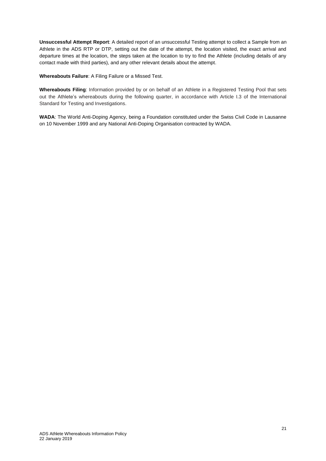**Unsuccessful Attempt Report**: A detailed report of an unsuccessful Testing attempt to collect a Sample from an Athlete in the ADS RTP or DTP, setting out the date of the attempt, the location visited, the exact arrival and departure times at the location, the steps taken at the location to try to find the Athlete (including details of any contact made with third parties), and any other relevant details about the attempt.

**Whereabouts Failure**: A Filing Failure or a Missed Test.

**Whereabouts Filing**: Information provided by or on behalf of an Athlete in a Registered Testing Pool that sets out the Athlete's whereabouts during the following quarter, in accordance with Article I.3 of the International Standard for Testing and Investigations.

**WADA**: The World Anti-Doping Agency, being a Foundation constituted under the Swiss Civil Code in Lausanne on 10 November 1999 and any National Anti-Doping Organisation contracted by WADA.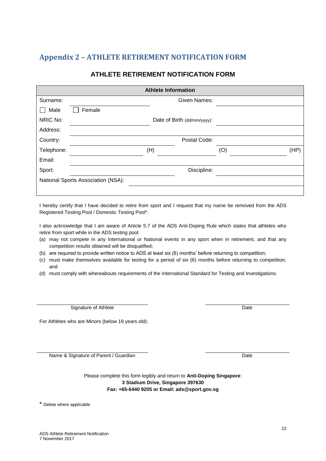# <span id="page-21-0"></span>**Appendix 2 – ATHLETE RETIREMENT NOTIFICATION FORM**

#### **ATHLETE RETIREMENT NOTIFICATION FORM**

| <b>Athlete Information</b>              |        |                     |             |
|-----------------------------------------|--------|---------------------|-------------|
| Surname:                                |        | <b>Given Names:</b> |             |
| Male                                    | Female |                     |             |
| NRIC No:<br>Date of Birth (dd/mm/yyyy): |        |                     |             |
| Address:                                |        |                     |             |
| Country:                                |        | Postal Code:        |             |
| Telephone:                              |        | (H)                 | (O)<br>(HP) |
| Email:                                  |        |                     |             |
| Sport:                                  |        | Discipline:         |             |
| National Sports Association (NSA):      |        |                     |             |
|                                         |        |                     |             |

I hereby certify that I have decided to retire from sport and I request that my name be removed from the ADS Registered Testing Pool / Domestic Testing Pool\*.

I also acknowledge that I am aware of Article 5.7 of the ADS Anti-Doping Rule which states that athletes who retire from sport while in the ADS testing pool:

- (a) may not compete in any International or National events in any sport when in retirement, and that any competition results obtained will be disqualified;
- (b) are required to provide written notice to ADS at least six (6) months' before returning to competition;
- (c) must make themselves available for testing for a period of six (6) months before returning to competition; and
- (d) must comply with whereabouts requirements of the International Standard for Testing and Investigations.

Signature of Athlete Date

For Athletes who are Minors (below 18 years old):

Name & Signature of Parent / Guardian Date

Please complete this form legibly and return to **Anti-Doping Singapore**: **3 Stadium Drive, Singapore 397630 Fax: +65-6440 9205 or Email: ads@sport.gov.sg**

\* Delete where applicable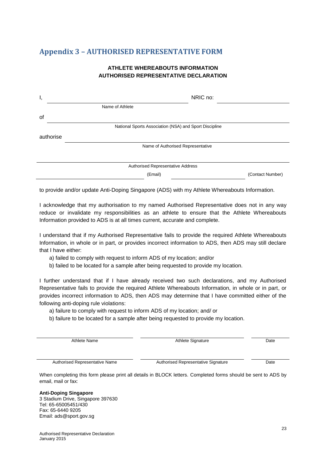## <span id="page-22-0"></span>**Appendix 3 – AUTHORISED REPRESENTATIVE FORM**

#### **ATHLETE WHEREABOUTS INFORMATION AUTHORISED REPRESENTATIVE DECLARATION**

| ۱,        | NRIC no:                                               |                  |
|-----------|--------------------------------------------------------|------------------|
|           | Name of Athlete                                        |                  |
| οf        |                                                        |                  |
|           | National Sports Association (NSA) and Sport Discipline |                  |
| authorise |                                                        |                  |
|           | Name of Authorised Representative                      |                  |
|           |                                                        |                  |
|           | Authorised Representative Address                      |                  |
|           | (Email)                                                | (Contact Number) |

to provide and/or update Anti-Doping Singapore (ADS) with my Athlete Whereabouts Information.

I acknowledge that my authorisation to my named Authorised Representative does not in any way reduce or invalidate my responsibilities as an athlete to ensure that the Athlete Whereabouts Information provided to ADS is at all times current, accurate and complete.

I understand that if my Authorised Representative fails to provide the required Athlete Whereabouts Information, in whole or in part, or provides incorrect information to ADS, then ADS may still declare that I have either:

- a) failed to comply with request to inform ADS of my location; and/or
- b) failed to be located for a sample after being requested to provide my location.

I further understand that if I have already received two such declarations, and my Authorised Representative fails to provide the required Athlete Whereabouts Information, in whole or in part, or provides incorrect information to ADS, then ADS may determine that I have committed either of the following anti-doping rule violations:

- a) failure to comply with request to inform ADS of my location; and/ or
- b) failure to be located for a sample after being requested to provide my location.

Athlete Name **Athlete Signature** Athlete Signature **Athlete Signature Date** 

Authorised Representative Name **Authorised Representative Signature** Date

When completing this form please print all details in BLOCK letters. Completed forms should be sent to ADS by email, mail or fax:

**Anti-Doping Singapore** 3 Stadium Drive, Singapore 397630 Tel: 65-65005451/430 Fax: 65-6440 9205 Email: ads@sport.gov.sg